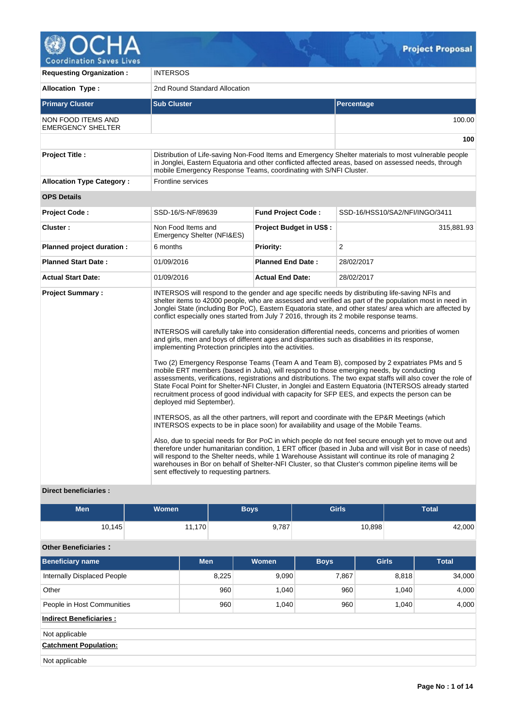

**Requesting Organization :** INTERSOS **Allocation Type :** 2nd Round Standard Allocation **Primary Cluster Sub Cluster Sub Cluster** Sub Cluster Sub Cluster Sub Cluster Sub Cluster Sub Cluster Sub Cluster NON FOOD ITEMS AND EMERGENCY SHELTER 100.00 **100 Project Title :** Distribution of Life-saving Non-Food Items and Emergency Shelter materials to most vulnerable people in Jonglei, Eastern Equatoria and other conflicted affected areas, based on assessed needs, through mobile Emergency Response Teams, coordinating with S/NFI Cluster. **Allocation Type Category :** Frontline services **OPS Details Project Code :** SSD-16/S-NF/89639 **Fund Project Code :** SSD-16/HSS10/SA2/NFI/INGO/3411 **Cluster :** Non Food Items and Emergency Shelter (NFI&ES) **Project Budget in US\$ :** 315,881.93 **Planned project duration :** 6 months **Priority: Priority:** 2 **Planned Start Date :** 01/09/2016 **Planned End Date :** 28/02/2017 **Actual Start Date:** 01/09/2016 **Actual End Date:** 28/02/2017 **Project Summary :** INTERSOS will respond to the gender and age specific needs by distributing life-saving NFIs and shelter items to 42000 people, who are assessed and verified as part of the population most in need in Jonglei State (including Bor PoC), Eastern Equatoria state, and other states/ area which are affected by conflict especially ones started from July 7 2016, through its 2 mobile response teams. INTERSOS will carefully take into consideration differential needs, concerns and priorities of women and girls, men and boys of different ages and disparities such as disabilities in its response, implementing Protection principles into the activities. Two (2) Emergency Response Teams (Team A and Team B), composed by 2 expatriates PMs and 5 mobile ERT members (based in Juba), will respond to those emerging needs, by conducting assessments, verifications, registrations and distributions. The two expat staffs will also cover the role of State Focal Point for Shelter-NFI Cluster, in Jonglei and Eastern Equatoria (INTERSOS already started recruitment process of good individual with capacity for SFP EES, and expects the person can be deployed mid September). INTERSOS, as all the other partners, will report and coordinate with the EP&R Meetings (which INTERSOS expects to be in place soon) for availability and usage of the Mobile Teams. Also, due to special needs for Bor PoC in which people do not feel secure enough yet to move out and therefore under humanitarian condition, 1 ERT officer (based in Juba and will visit Bor in case of needs) will respond to the Shelter needs, while 1 Warehouse Assistant will continue its role of managing 2 warehouses in Bor on behalf of Shelter-NFI Cluster, so that Cluster's common pipeline items will be sent effectively to requesting partners.

# **Direct beneficiaries :**

| <b>Men</b> | Women  | Boys  | <b>Girls</b> | <b>Total</b> |
|------------|--------|-------|--------------|--------------|
| 10,145     | 11,170 | 9,787 | 10,898       | 42,000       |

# **Other Beneficiaries :**

| <b>Beneficiary name</b>        | <b>Men</b> | Women | <b>Boys</b> | <b>Girls</b> | <b>Total</b> |
|--------------------------------|------------|-------|-------------|--------------|--------------|
| Internally Displaced People    | 8,225      | 9,090 | 7,867       | 8,818        | 34,000       |
| Other                          | 960        | 1,040 | 960         | 1,040        | 4,000        |
| People in Host Communities     | 960        | 1,040 | 960         | 1,040        | 4,000        |
| <b>Indirect Beneficiaries:</b> |            |       |             |              |              |
| Not applicable                 |            |       |             |              |              |
| <b>Catchment Population:</b>   |            |       |             |              |              |
| Not applicable                 |            |       |             |              |              |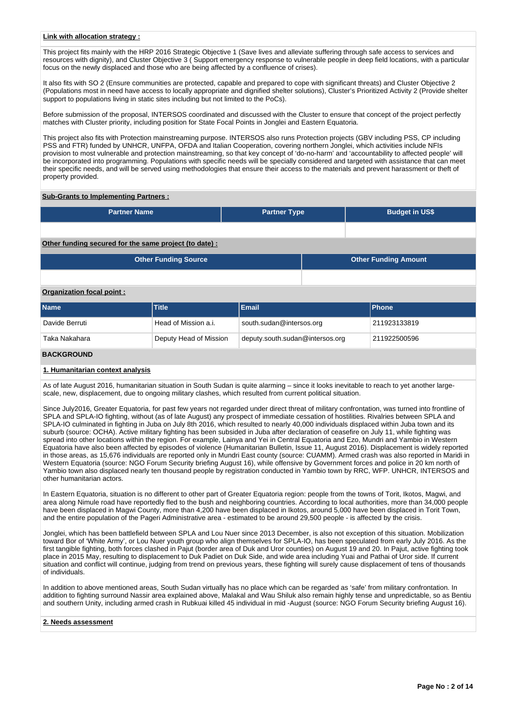### **Link with allocation strategy :**

This project fits mainly with the HRP 2016 Strategic Objective 1 (Save lives and alleviate suffering through safe access to services and resources with dignity), and Cluster Objective 3 ( Support emergency response to vulnerable people in deep field locations, with a particular focus on the newly displaced and those who are being affected by a confluence of crises).

It also fits with SO 2 (Ensure communities are protected, capable and prepared to cope with significant threats) and Cluster Objective 2 (Populations most in need have access to locally appropriate and dignified shelter solutions), Cluster's Prioritized Activity 2 (Provide shelter support to populations living in static sites including but not limited to the PoCs).

Before submission of the proposal, INTERSOS coordinated and discussed with the Cluster to ensure that concept of the project perfectly matches with Cluster priority, including position for State Focal Points in Jonglei and Eastern Equatoria.

This project also fits with Protection mainstreaming purpose. INTERSOS also runs Protection projects (GBV including PSS, CP including PSS and FTR) funded by UNHCR, UNFPA, OFDA and Italian Cooperation, covering northern Jonglei, which activities include NFIs provision to most vulnerable and protection mainstreaming, so that key concept of 'do-no-harm' and 'accountability to affected people' will be incorporated into programming. Populations with specific needs will be specially considered and targeted with assistance that can meet their specific needs, and will be served using methodologies that ensure their access to the materials and prevent harassment or theft of property provided.

## **Sub-Grants to Implementing Partners :**

| <b>Partner Name</b> | <b>Partner Type</b> | <b>Budget in US\$</b> |
|---------------------|---------------------|-----------------------|
|                     |                     |                       |

## **Other funding secured for the same project (to date) :**

| Other Funding Source | <b>Other Funding Amount</b> |
|----------------------|-----------------------------|
|                      |                             |

## **Organization focal point :**

| <b>Name</b>    | <b>Title</b>           | Email                           | <b>IPhone</b> |
|----------------|------------------------|---------------------------------|---------------|
| Davide Berruti | Head of Mission a.i.   | south.sudan@intersos.org        | 211923133819  |
| Taka Nakahara  | Deputy Head of Mission | deputy.south.sudan@intersos.org | 1211922500596 |

# **BACKGROUND**

#### **1. Humanitarian context analysis**

As of late August 2016, humanitarian situation in South Sudan is quite alarming – since it looks inevitable to reach to yet another largescale, new, displacement, due to ongoing military clashes, which resulted from current political situation.

Since July2016, Greater Equatoria, for past few years not regarded under direct threat of military confrontation, was turned into frontline of SPLA and SPLA-IO fighting, without (as of late August) any prospect of immediate cessation of hostilities. Rivalries between SPLA and SPLA-IO culminated in fighting in Juba on July 8th 2016, which resulted to nearly 40,000 individuals displaced within Juba town and its suburb (source: OCHA). Active military fighting has been subsided in Juba after declaration of ceasefire on July 11, while fighting was spread into other locations within the region. For example, Lainya and Yei in Central Equatoria and Ezo, Mundri and Yambio in Western Equatoria have also been affected by episodes of violence (Humanitarian Bulletin, Issue 11, August 2016). Displacement is widely reported in those areas, as 15,676 individuals are reported only in Mundri East county (source: CUAMM). Armed crash was also reported in Maridi in Western Equatoria (source: NGO Forum Security briefing August 16), while offensive by Government forces and police in 20 km north of Yambio town also displaced nearly ten thousand people by registration conducted in Yambio town by RRC, WFP. UNHCR, INTERSOS and other humanitarian actors.

In Eastern Equatoria, situation is no different to other part of Greater Equatoria region: people from the towns of Torit, Ikotos, Magwi, and area along Nimule road have reportedly fled to the bush and neighboring countries. According to local authorities, more than 34,000 people have been displaced in Magwi County, more than 4,200 have been displaced in Ikotos, around 5,000 have been displaced in Torit Town, and the entire population of the Pageri Administrative area - estimated to be around 29,500 people - is affected by the crisis.

Jonglei, which has been battlefield between SPLA and Lou Nuer since 2013 December, is also not exception of this situation. Mobilization toward Bor of 'White Army', or Lou Nuer youth group who align themselves for SPLA-IO, has been speculated from early July 2016. As the first tangible fighting, both forces clashed in Pajut (border area of Duk and Uror counties) on August 19 and 20. In Pajut, active fighting took place in 2015 May, resulting to displacement to Duk Padiet on Duk Side, and wide area including Yuai and Pathai of Uror side. If current situation and conflict will continue, judging from trend on previous years, these fighting will surely cause displacement of tens of thousands of individuals.

In addition to above mentioned areas, South Sudan virtually has no place which can be regarded as 'safe' from military confrontation. In addition to fighting surround Nassir area explained above, Malakal and Wau Shiluk also remain highly tense and unpredictable, so as Bentiu and southern Unity, including armed crash in Rubkuai killed 45 individual in mid -August (source: NGO Forum Security briefing August 16).

### **2. Needs assessment**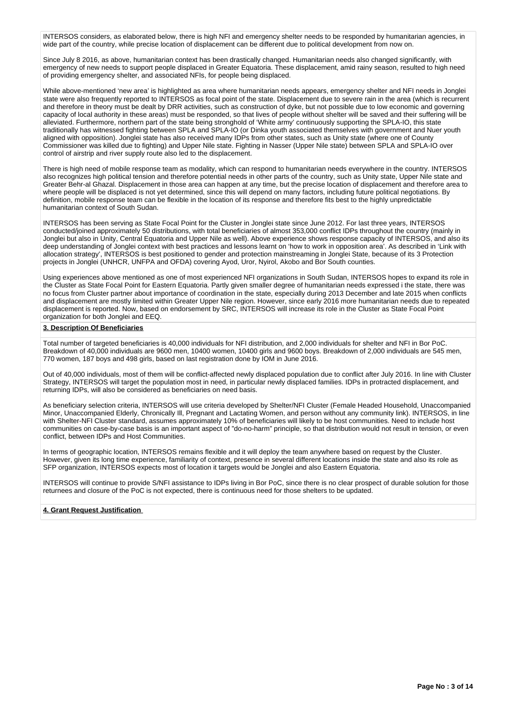INTERSOS considers, as elaborated below, there is high NFI and emergency shelter needs to be responded by humanitarian agencies, in wide part of the country, while precise location of displacement can be different due to political development from now on.

Since July 8 2016, as above, humanitarian context has been drastically changed. Humanitarian needs also changed significantly, with emergency of new needs to support people displaced in Greater Equatoria. These displacement, amid rainy season, resulted to high need of providing emergency shelter, and associated NFIs, for people being displaced.

While above-mentioned 'new area' is highlighted as area where humanitarian needs appears, emergency shelter and NFI needs in Jonglei state were also frequently reported to INTERSOS as focal point of the state. Displacement due to severe rain in the area (which is recurrent and therefore in theory must be dealt by DRR activities, such as construction of dyke, but not possible due to low economic and governing capacity of local authority in these areas) must be responded, so that lives of people without shelter will be saved and their suffering will be alleviated. Furthermore, northern part of the state being stronghold of 'White army' continuously supporting the SPLA-IO, this state traditionally has witnessed fighting between SPLA and SPLA-IO (or Dinka youth associated themselves with government and Nuer youth aligned with opposition). Jonglei state has also received many IDPs from other states, such as Unity state (where one of County Commissioner was killed due to fighting) and Upper Nile state. Fighting in Nasser (Upper Nile state) between SPLA and SPLA-IO over control of airstrip and river supply route also led to the displacement.

There is high need of mobile response team as modality, which can respond to humanitarian needs everywhere in the country. INTERSOS also recognizes high political tension and therefore potential needs in other parts of the country, such as Unity state, Upper Nile state and Greater Behr-al Ghazal. Displacement in those area can happen at any time, but the precise location of displacement and therefore area to where people will be displaced is not yet determined, since this will depend on many factors, including future political negotiations. By definition, mobile response team can be flexible in the location of its response and therefore fits best to the highly unpredictable humanitarian context of South Sudan.

INTERSOS has been serving as State Focal Point for the Cluster in Jonglei state since June 2012. For last three years, INTERSOS conducted/joined approximately 50 distributions, with total beneficiaries of almost 353,000 conflict IDPs throughout the country (mainly in Jonglei but also in Unity, Central Equatoria and Upper Nile as well). Above experience shows response capacity of INTERSOS, and also its deep understanding of Jonglei context with best practices and lessons learnt on 'how to work in opposition area'. As described in 'Link with allocation strategy', INTERSOS is best positioned to gender and protection mainstreaming in Jonglei State, because of its 3 Protection projects in Jonglei (UNHCR, UNFPA and OFDA) covering Ayod, Uror, Nyirol, Akobo and Bor South counties.

Using experiences above mentioned as one of most experienced NFI organizations in South Sudan, INTERSOS hopes to expand its role in the Cluster as State Focal Point for Eastern Equatoria. Partly given smaller degree of humanitarian needs expressed i the state, there was no focus from Cluster partner about importance of coordination in the state, especially during 2013 December and late 2015 when conflicts and displacement are mostly limited within Greater Upper Nile region. However, since early 2016 more humanitarian needs due to repeated displacement is reported. Now, based on endorsement by SRC, INTERSOS will increase its role in the Cluster as State Focal Point organization for both Jonglei and EEQ.

## **3. Description Of Beneficiaries**

Total number of targeted beneficiaries is 40,000 individuals for NFI distribution, and 2,000 individuals for shelter and NFI in Bor PoC. Breakdown of 40,000 individuals are 9600 men, 10400 women, 10400 girls and 9600 boys. Breakdown of 2,000 individuals are 545 men, 770 women, 187 boys and 498 girls, based on last registration done by IOM in June 2016.

Out of 40,000 individuals, most of them will be conflict-affected newly displaced population due to conflict after July 2016. In line with Cluster Strategy, INTERSOS will target the population most in need, in particular newly displaced families. IDPs in protracted displacement, and returning IDPs, will also be considered as beneficiaries on need basis.

As beneficiary selection criteria, INTERSOS will use criteria developed by Shelter/NFI Cluster (Female Headed Household, Unaccompanied Minor, Unaccompanied Elderly, Chronically Ill, Pregnant and Lactating Women, and person without any community link). INTERSOS, in line with Shelter-NFI Cluster standard, assumes approximately 10% of beneficiaries will likely to be host communities. Need to include host communities on case-by-case basis is an important aspect of "do-no-harm" principle, so that distribution would not result in tension, or even conflict, between IDPs and Host Communities.

In terms of geographic location, INTERSOS remains flexible and it will deploy the team anywhere based on request by the Cluster. However, given its long time experience, familiarity of context, presence in several different locations inside the state and also its role as SFP organization, INTERSOS expects most of location it targets would be Jonglei and also Eastern Equatoria.

INTERSOS will continue to provide S/NFI assistance to IDPs living in Bor PoC, since there is no clear prospect of durable solution for those returnees and closure of the PoC is not expected, there is continuous need for those shelters to be updated.

## **4. Grant Request Justification**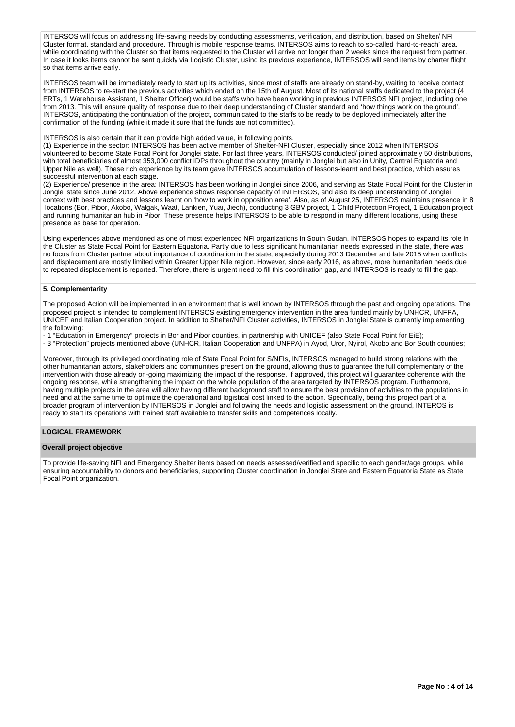INTERSOS will focus on addressing life-saving needs by conducting assessments, verification, and distribution, based on Shelter/ NFI Cluster format, standard and procedure. Through is mobile response teams, INTERSOS aims to reach to so-called 'hard-to-reach' area, while coordinating with the Cluster so that items requested to the Cluster will arrive not longer than 2 weeks since the request from partner. In case it looks items cannot be sent quickly via Logistic Cluster, using its previous experience, INTERSOS will send items by charter flight so that items arrive early.

INTERSOS team will be immediately ready to start up its activities, since most of staffs are already on stand-by, waiting to receive contact from INTERSOS to re-start the previous activities which ended on the 15th of August. Most of its national staffs dedicated to the project (4 ERTs, 1 Warehouse Assistant, 1 Shelter Officer) would be staffs who have been working in previous INTERSOS NFI project, including one from 2013. This will ensure quality of response due to their deep understanding of Cluster standard and 'how things work on the ground'. INTERSOS, anticipating the continuation of the project, communicated to the staffs to be ready to be deployed immediately after the confirmation of the funding (while it made it sure that the funds are not committed).

INTERSOS is also certain that it can provide high added value, in following points.

(1) Experience in the sector: INTERSOS has been active member of Shelter-NFI Cluster, especially since 2012 when INTERSOS volunteered to become State Focal Point for Jonglei state. For last three years, INTERSOS conducted/ joined approximately 50 distributions, with total beneficiaries of almost 353,000 conflict IDPs throughout the country (mainly in Jonglei but also in Unity, Central Equatoria and Upper Nile as well). These rich experience by its team gave INTERSOS accumulation of lessons-learnt and best practice, which assures successful intervention at each stage.

(2) Experience/ presence in the area: INTERSOS has been working in Jonglei since 2006, and serving as State Focal Point for the Cluster in Jonglei state since June 2012. Above experience shows response capacity of INTERSOS, and also its deep understanding of Jonglei context with best practices and lessons learnt on 'how to work in opposition area'. Also, as of August 25, INTERSOS maintains presence in 8 locations (Bor, Pibor, Akobo, Walgak, Waat, Lankien, Yuai, Jiech), conducting 3 GBV project, 1 Child Protection Project, 1 Education project and running humanitarian hub in Pibor. These presence helps INTERSOS to be able to respond in many different locations, using these presence as base for operation.

Using experiences above mentioned as one of most experienced NFI organizations in South Sudan, INTERSOS hopes to expand its role in the Cluster as State Focal Point for Eastern Equatoria. Partly due to less significant humanitarian needs expressed in the state, there was no focus from Cluster partner about importance of coordination in the state, especially during 2013 December and late 2015 when conflicts and displacement are mostly limited within Greater Upper Nile region. However, since early 2016, as above, more humanitarian needs due to repeated displacement is reported. Therefore, there is urgent need to fill this coordination gap, and INTERSOS is ready to fill the gap.

## **5. Complementarity**

The proposed Action will be implemented in an environment that is well known by INTERSOS through the past and ongoing operations. The proposed project is intended to complement INTERSOS existing emergency intervention in the area funded mainly by UNHCR, UNFPA, UNICEF and Italian Cooperation project. In addition to Shelter/NFI Cluster activities, INTERSOS in Jonglei State is currently implementing the following:

- 1 "Education in Emergency" projects in Bor and Pibor counties, in partnership with UNICEF (also State Focal Point for EiE);

- 3 "Protection" projects mentioned above (UNHCR, Italian Cooperation and UNFPA) in Ayod, Uror, Nyirol, Akobo and Bor South counties;

Moreover, through its privileged coordinating role of State Focal Point for S/NFIs, INTERSOS managed to build strong relations with the other humanitarian actors, stakeholders and communities present on the ground, allowing thus to guarantee the full complementary of the intervention with those already on-going maximizing the impact of the response. If approved, this project will guarantee coherence with the ongoing response, while strengthening the impact on the whole population of the area targeted by INTERSOS program. Furthermore, having multiple projects in the area will allow having different background staff to ensure the best provision of activities to the populations in need and at the same time to optimize the operational and logistical cost linked to the action. Specifically, being this project part of a broader program of intervention by INTERSOS in Jonglei and following the needs and logistic assessment on the ground, INTEROS is ready to start its operations with trained staff available to transfer skills and competences locally.

## **LOGICAL FRAMEWORK**

#### **Overall project objective**

To provide life-saving NFI and Emergency Shelter items based on needs assessed/verified and specific to each gender/age groups, while ensuring accountability to donors and beneficiaries, supporting Cluster coordination in Jonglei State and Eastern Equatoria State as State Focal Point organization.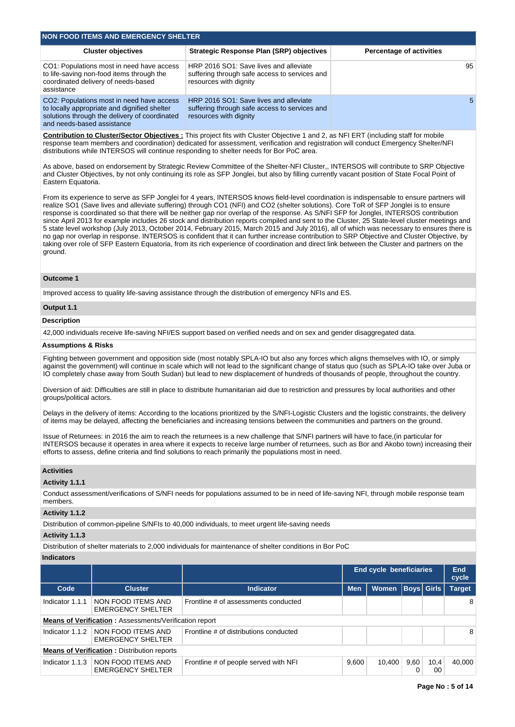| <b>NON FOOD ITEMS AND EMERGENCY SHELTER</b>                                                                                                                              |                                                                                                                   |                                 |  |  |  |  |  |  |  |  |
|--------------------------------------------------------------------------------------------------------------------------------------------------------------------------|-------------------------------------------------------------------------------------------------------------------|---------------------------------|--|--|--|--|--|--|--|--|
| <b>Cluster objectives</b>                                                                                                                                                | <b>Strategic Response Plan (SRP) objectives</b>                                                                   | <b>Percentage of activities</b> |  |  |  |  |  |  |  |  |
| CO1: Populations most in need have access<br>to life-saving non-food items through the<br>coordinated delivery of needs-based<br>assistance                              | HRP 2016 SO1: Save lives and alleviate<br>suffering through safe access to services and<br>resources with dignity | 95                              |  |  |  |  |  |  |  |  |
| CO2: Populations most in need have access<br>to locally appropriate and dignified shelter<br>solutions through the delivery of coordinated<br>and needs-based assistance | HRP 2016 SO1: Save lives and alleviate<br>suffering through safe access to services and<br>resources with dignity | 5                               |  |  |  |  |  |  |  |  |

**Contribution to Cluster/Sector Objectives :** This project fits with Cluster Objective 1 and 2, as NFI ERT (including staff for mobile response team members and coordination) dedicated for assessment, verification and registration will conduct Emergency Shelter/NFI distributions while INTERSOS will continue responding to shelter needs for Bor PoC area.

As above, based on endorsement by Strategic Review Committee of the Shelter-NFI Cluster,, INTERSOS will contribute to SRP Objective and Cluster Objectives, by not only continuing its role as SFP Jonglei, but also by filling currently vacant position of State Focal Point of Eastern Equatoria.

From its experience to serve as SFP Jonglei for 4 years, INTERSOS knows field-level coordination is indispensable to ensure partners will realize SO1 (Save lives and alleviate suffering) through CO1 (NFI) and CO2 (shelter solutions). Core ToR of SFP Jonglei is to ensure response is coordinated so that there will be neither gap nor overlap of the response. As S/NFI SFP for Jonglei, INTERSOS contribution since April 2013 for example includes 26 stock and distribution reports compiled and sent to the Cluster, 25 State-level cluster meetings and 5 state level workshop (July 2013, October 2014, February 2015, March 2015 and July 2016), all of which was necessary to ensures there is no gap nor overlap in response. INTERSOS is confident that it can further increase contribution to SRP Objective and Cluster Objective, by taking over role of SFP Eastern Equatoria, from its rich experience of coordination and direct link between the Cluster and partners on the ground.

## **Outcome 1**

Improved access to quality life-saving assistance through the distribution of emergency NFIs and ES.

### **Output 1.1**

## **Description**

42,000 individuals receive life-saving NFI/ES support based on verified needs and on sex and gender disaggregated data.

### **Assumptions & Risks**

Fighting between government and opposition side (most notably SPLA-IO but also any forces which aligns themselves with IO, or simply against the government) will continue in scale which will not lead to the significant change of status quo (such as SPLA-IO take over Juba or IO completely chase away from South Sudan) but lead to new displacement of hundreds of thousands of people, throughout the country.

Diversion of aid: Difficulties are still in place to distribute humanitarian aid due to restriction and pressures by local authorities and other groups/political actors.

Delays in the delivery of items: According to the locations prioritized by the S/NFI-Logistic Clusters and the logistic constraints, the delivery of items may be delayed, affecting the beneficiaries and increasing tensions between the communities and partners on the ground.

Issue of Returnees: in 2016 the aim to reach the returnees is a new challenge that S/NFI partners will have to face,(in particular for INTERSOS because it operates in area where it expects to receive large number of returnees, such as Bor and Akobo town) increasing their efforts to assess, define criteria and find solutions to reach primarily the populations most in need.

## **Activities**

**Activity 1.1.1** 

Conduct assessment/verifications of S/NFI needs for populations assumed to be in need of life-saving NFI, through mobile response team members.

### **Activity 1.1.2**

Distribution of common-pipeline S/NFIs to 40,000 individuals, to meet urgent life-saving needs

## **Activity 1.1.3**

Distribution of shelter materials to 2,000 individuals for maintenance of shelter conditions in Bor PoC

#### **Indicators**

|                 |                                                               | End cycle beneficiaries                |            |              |           |                   |               |  |  |  | <b>End</b><br>cycle |
|-----------------|---------------------------------------------------------------|----------------------------------------|------------|--------------|-----------|-------------------|---------------|--|--|--|---------------------|
| Code            | <b>Cluster</b>                                                | <b>Indicator</b>                       | <b>Men</b> | <b>Women</b> |           | <b>Boys Girls</b> | <b>Target</b> |  |  |  |                     |
| Indicator 1.1.1 | NON FOOD ITEMS AND<br><b>EMERGENCY SHELTER</b>                | Frontline # of assessments conducted   |            |              |           |                   | 8             |  |  |  |                     |
|                 | <b>Means of Verification: Assessments/Verification report</b> |                                        |            |              |           |                   |               |  |  |  |                     |
| Indicator 1.1.2 | NON FOOD ITEMS AND<br><b>EMERGENCY SHELTER</b>                | Frontline # of distributions conducted |            |              |           |                   | 8             |  |  |  |                     |
|                 | <b>Means of Verification: Distribution reports</b>            |                                        |            |              |           |                   |               |  |  |  |                     |
| Indicator 1.1.3 | NON FOOD ITEMS AND<br><b>EMERGENCY SHELTER</b>                | Frontline # of people served with NFI  | 9,600      | 10,400       | 9,60<br>0 | 10,4<br>00        | 40.000        |  |  |  |                     |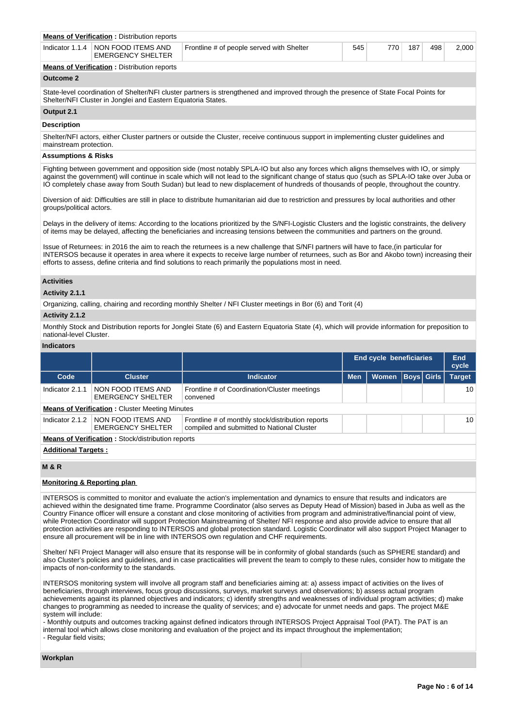| <b>Means of Verification: Distribution reports</b>               |                                           |     |                  |     |     |       |
|------------------------------------------------------------------|-------------------------------------------|-----|------------------|-----|-----|-------|
| Indicator 1.1.4   NON FOOD ITEMS AND<br><b>EMERGENCY SHELTER</b> | Frontline # of people served with Shelter | 545 | 770 <sub>1</sub> | 187 | 498 | 2.000 |

**Means of Verification :** Distribution reports

## **Outcome 2**

State-level coordination of Shelter/NFI cluster partners is strengthened and improved through the presence of State Focal Points for Shelter/NFI Cluster in Jonglei and Eastern Equatoria States.

# **Output 2.1**

### **Description**

Shelter/NFI actors, either Cluster partners or outside the Cluster, receive continuous support in implementing cluster guidelines and mainstream protection.

### **Assumptions & Risks**

Fighting between government and opposition side (most notably SPLA-IO but also any forces which aligns themselves with IO, or simply against the government) will continue in scale which will not lead to the significant change of status quo (such as SPLA-IO take over Juba or IO completely chase away from South Sudan) but lead to new displacement of hundreds of thousands of people, throughout the country.

Diversion of aid: Difficulties are still in place to distribute humanitarian aid due to restriction and pressures by local authorities and other groups/political actors.

Delays in the delivery of items: According to the locations prioritized by the S/NFI-Logistic Clusters and the logistic constraints, the delivery of items may be delayed, affecting the beneficiaries and increasing tensions between the communities and partners on the ground.

Issue of Returnees: in 2016 the aim to reach the returnees is a new challenge that S/NFI partners will have to face,(in particular for INTERSOS because it operates in area where it expects to receive large number of returnees, such as Bor and Akobo town) increasing their efforts to assess, define criteria and find solutions to reach primarily the populations most in need.

### **Activities**

### **Activity 2.1.1**

Organizing, calling, chairing and recording monthly Shelter / NFI Cluster meetings in Bor (6) and Torit (4)

### **Activity 2.1.2**

Monthly Stock and Distribution reports for Jonglei State (6) and Eastern Equatoria State (4), which will provide information for preposition to national-level Cluster.

#### **Indicators**

|                            |                                                          |                                                                                                 | End cycle beneficiaries |              |                   |  | <b>End</b><br>cycle |
|----------------------------|----------------------------------------------------------|-------------------------------------------------------------------------------------------------|-------------------------|--------------|-------------------|--|---------------------|
| Code                       | <b>Cluster</b>                                           | <b>Indicator</b>                                                                                | <b>Men</b>              | <b>Women</b> | <b>Boys</b> Girls |  | <b>Target</b>       |
| Indicator 2.1.1            | NON FOOD ITEMS AND<br><b>EMERGENCY SHELTER</b>           | Frontline # of Coordination/Cluster meetings<br>convened                                        |                         |              |                   |  | 10                  |
|                            | <b>Means of Verification:</b> Cluster Meeting Minutes    |                                                                                                 |                         |              |                   |  |                     |
| Indicator 2.1.2            | NON FOOD ITEMS AND<br><b>EMERGENCY SHELTER</b>           | Frontline # of monthly stock/distribution reports<br>compiled and submitted to National Cluster |                         |              |                   |  | 10                  |
|                            | <b>Means of Verification:</b> Stock/distribution reports |                                                                                                 |                         |              |                   |  |                     |
| <b>Additional Targets:</b> |                                                          |                                                                                                 |                         |              |                   |  |                     |

### **M & R**

### **Monitoring & Reporting plan**

INTERSOS is committed to monitor and evaluate the action's implementation and dynamics to ensure that results and indicators are achieved within the designated time frame. Programme Coordinator (also serves as Deputy Head of Mission) based in Juba as well as the Country Finance officer will ensure a constant and close monitoring of activities from program and administrative/financial point of view, while Protection Coordinator will support Protection Mainstreaming of Shelter/ NFI response and also provide advice to ensure that all protection activities are responding to INTERSOS and global protection standard. Logistic Coordinator will also support Project Manager to ensure all procurement will be in line with INTERSOS own regulation and CHF requirements.

Shelter/ NFI Project Manager will also ensure that its response will be in conformity of global standards (such as SPHERE standard) and also Cluster's policies and guidelines, and in case practicalities will prevent the team to comply to these rules, consider how to mitigate the impacts of non-conformity to the standards.

INTERSOS monitoring system will involve all program staff and beneficiaries aiming at: a) assess impact of activities on the lives of beneficiaries, through interviews, focus group discussions, surveys, market surveys and observations; b) assess actual program achievements against its planned objectives and indicators; c) identify strengths and weaknesses of individual program activities; d) make changes to programming as needed to increase the quality of services; and e) advocate for unmet needs and gaps. The project M&E system will include:

- Monthly outputs and outcomes tracking against defined indicators through INTERSOS Project Appraisal Tool (PAT). The PAT is an internal tool which allows close monitoring and evaluation of the project and its impact throughout the implementation; - Regular field visits;

#### **Workplan**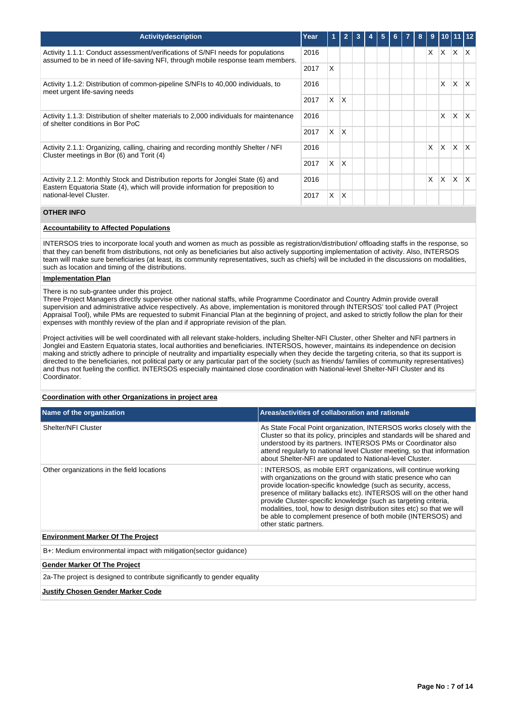| <b>Activity description</b>                                                                                                                                        | Year |          | $\overline{2}$ |  | 5 | 6 <sup>1</sup> | 7 | 8 <sup>1</sup> | 9 |              | 1011112      |     |
|--------------------------------------------------------------------------------------------------------------------------------------------------------------------|------|----------|----------------|--|---|----------------|---|----------------|---|--------------|--------------|-----|
| Activity 1.1.1: Conduct assessment/verifications of S/NFI needs for populations<br>assumed to be in need of life-saving NFI, through mobile response team members. | 2016 |          |                |  |   |                |   |                | X | X.           | $\times$     | IX. |
|                                                                                                                                                                    | 2017 | X        |                |  |   |                |   |                |   |              |              |     |
| Activity 1.1.2: Distribution of common-pipeline S/NFIs to 40,000 individuals, to<br>meet urgent life-saving needs                                                  | 2016 |          |                |  |   |                |   |                |   | X            | $\mathsf{X}$ | IX. |
|                                                                                                                                                                    | 2017 | X        | ΙX             |  |   |                |   |                |   |              |              |     |
| Activity 1.1.3: Distribution of shelter materials to 2,000 individuals for maintenance<br>of shelter conditions in Bor PoC                                         | 2016 |          |                |  |   |                |   |                |   | X            | X            | ΙX. |
|                                                                                                                                                                    | 2017 | $\times$ | ΙX.            |  |   |                |   |                |   |              |              |     |
| Activity 2.1.1: Organizing, calling, chairing and recording monthly Shelter / NFI<br>Cluster meetings in Bor (6) and Torit (4)                                     | 2016 |          |                |  |   |                |   |                | X | <b>X</b>     | $\times$     | IX. |
|                                                                                                                                                                    | 2017 | X        | ΙX.            |  |   |                |   |                |   |              |              |     |
| Activity 2.1.2: Monthly Stock and Distribution reports for Jonglei State (6) and<br>Eastern Equatoria State (4), which will provide information for preposition to | 2016 |          |                |  |   |                |   |                | X | <sup>X</sup> | $\times$     | IX. |
| national-level Cluster.                                                                                                                                            | 2017 | X        | $\mathsf{X}$   |  |   |                |   |                |   |              |              |     |

# **OTHER INFO**

# **Accountability to Affected Populations**

INTERSOS tries to incorporate local youth and women as much as possible as registration/distribution/ offloading staffs in the response, so that they can benefit from distributions, not only as beneficiaries but also actively supporting implementation of activity. Also, INTERSOS team will make sure beneficiaries (at least, its community representatives, such as chiefs) will be included in the discussions on modalities, such as location and timing of the distributions.

## **Implementation Plan**

There is no sub-grantee under this project.

Three Project Managers directly supervise other national staffs, while Programme Coordinator and Country Admin provide overall supervision and administrative advice respectively. As above, implementation is monitored through INTERSOS' tool called PAT (Project Appraisal Tool), while PMs are requested to submit Financial Plan at the beginning of project, and asked to strictly follow the plan for their expenses with monthly review of the plan and if appropriate revision of the plan.

Project activities will be well coordinated with all relevant stake-holders, including Shelter-NFI Cluster, other Shelter and NFI partners in Jonglei and Eastern Equatoria states, local authorities and beneficiaries. INTERSOS, however, maintains its independence on decision making and strictly adhere to principle of neutrality and impartiality especially when they decide the targeting criteria, so that its support is directed to the beneficiaries, not political party or any particular part of the society (such as friends/ families of community representatives) and thus not fueling the conflict. INTERSOS especially maintained close coordination with National-level Shelter-NFI Cluster and its Coordinator.

# **Coordination with other Organizations in project area**

| Name of the organization                                                  | Areas/activities of collaboration and rationale                                                                                                                                                                                                                                                                                                                                                                                                                                                                  |
|---------------------------------------------------------------------------|------------------------------------------------------------------------------------------------------------------------------------------------------------------------------------------------------------------------------------------------------------------------------------------------------------------------------------------------------------------------------------------------------------------------------------------------------------------------------------------------------------------|
| Shelter/NFI Cluster                                                       | As State Focal Point organization, INTERSOS works closely with the<br>Cluster so that its policy, principles and standards will be shared and<br>understood by its partners. INTERSOS PMs or Coordinator also<br>attend regularly to national level Cluster meeting, so that information<br>about Shelter-NFI are updated to National-level Cluster.                                                                                                                                                             |
| Other organizations in the field locations                                | : INTERSOS, as mobile ERT organizations, will continue working<br>with organizations on the ground with static presence who can<br>provide location-specific knowledge (such as security, access,<br>presence of military ballacks etc). INTERSOS will on the other hand<br>provide Cluster-specific knowledge (such as targeting criteria,<br>modalities, tool, how to design distribution sites etc) so that we will<br>be able to complement presence of both mobile (INTERSOS) and<br>other static partners. |
| <b>Environment Marker Of The Project</b>                                  |                                                                                                                                                                                                                                                                                                                                                                                                                                                                                                                  |
| B+: Medium environmental impact with mitigation (sector quidance)         |                                                                                                                                                                                                                                                                                                                                                                                                                                                                                                                  |
| <b>Gender Marker Of The Project</b>                                       |                                                                                                                                                                                                                                                                                                                                                                                                                                                                                                                  |
| 2a-The project is designed to contribute significantly to gender equality |                                                                                                                                                                                                                                                                                                                                                                                                                                                                                                                  |
| Justify Chosen Gender Marker Code                                         |                                                                                                                                                                                                                                                                                                                                                                                                                                                                                                                  |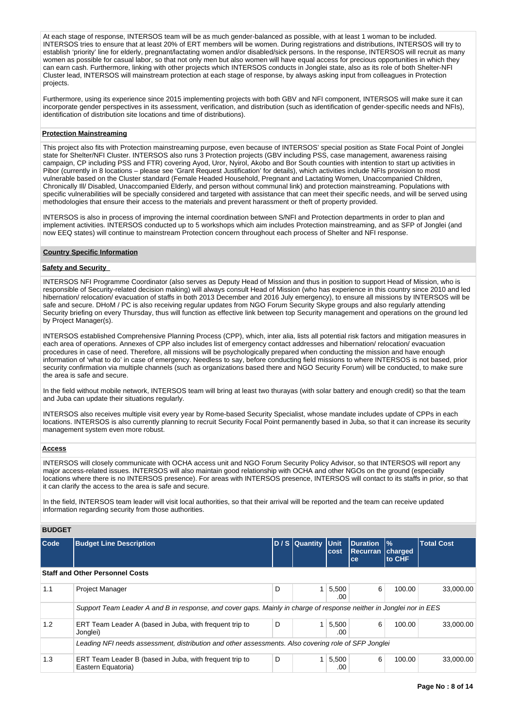At each stage of response, INTERSOS team will be as much gender-balanced as possible, with at least 1 woman to be included. INTERSOS tries to ensure that at least 20% of ERT members will be women. During registrations and distributions, INTERSOS will try to establish 'priority' line for elderly, pregnant/lactating women and/or disabled/sick persons. In the response, INTERSOS will recruit as many women as possible for casual labor, so that not only men but also women will have equal access for precious opportunities in which they can earn cash. Furthermore, linking with other projects which INTERSOS conducts in Jonglei state, also as its role of both Shelter-NFI Cluster lead, INTERSOS will mainstream protection at each stage of response, by always asking input from colleagues in Protection projects.

Furthermore, using its experience since 2015 implementing projects with both GBV and NFI component, INTERSOS will make sure it can incorporate gender perspectives in its assessment, verification, and distribution (such as identification of gender-specific needs and NFIs), identification of distribution site locations and time of distributions).

### **Protection Mainstreaming**

This project also fits with Protection mainstreaming purpose, even because of INTERSOS' special position as State Focal Point of Jonglei state for Shelter/NFI Cluster. INTERSOS also runs 3 Protection projects (GBV including PSS, case management, awareness raising campaign, CP including PSS and FTR) covering Ayod, Uror, Nyirol, Akobo and Bor South counties with intention to start up activities in Pibor (currently in 8 locations – please see 'Grant Request Justification' for details), which activities include NFIs provision to most vulnerable based on the Cluster standard (Female Headed Household, Pregnant and Lactating Women, Unaccompanied Children, Chronically Ill/ Disabled, Unaccompanied Elderly, and person without communal link) and protection mainstreaming. Populations with specific vulnerabilities will be specially considered and targeted with assistance that can meet their specific needs, and will be served using methodologies that ensure their access to the materials and prevent harassment or theft of property provided.

INTERSOS is also in process of improving the internal coordination between S/NFI and Protection departments in order to plan and implement activities. INTERSOS conducted up to 5 workshops which aim includes Protection mainstreaming, and as SFP of Jonglei (and now EEQ states) will continue to mainstream Protection concern throughout each process of Shelter and NFI response.

## **Country Specific Information**

## **Safety and Security**

INTERSOS NFI Programme Coordinator (also serves as Deputy Head of Mission and thus in position to support Head of Mission, who is responsible of Security-related decision making) will always consult Head of Mission (who has experience in this country since 2010 and led hibernation/ relocation/ evacuation of staffs in both 2013 December and 2016 July emergency), to ensure all missions by INTERSOS will be safe and secure. DHoM / PC is also receiving regular updates from NGO Forum Security Skype groups and also regularly attending Security briefing on every Thursday, thus will function as effective link between top Security management and operations on the ground led by Project Manager(s).

INTERSOS established Comprehensive Planning Process (CPP), which, inter alia, lists all potential risk factors and mitigation measures in each area of operations. Annexes of CPP also includes list of emergency contact addresses and hibernation/ relocation/ evacuation procedures in case of need. Therefore, all missions will be psychologically prepared when conducting the mission and have enough information of 'what to do' in case of emergency. Needless to say, before conducting field missions to where INTERSOS is not based, prior security confirmation via multiple channels (such as organizations based there and NGO Security Forum) will be conducted, to make sure the area is safe and secure.

In the field without mobile network, INTERSOS team will bring at least two thurayas (with solar battery and enough credit) so that the team and Juba can update their situations regularly.

INTERSOS also receives multiple visit every year by Rome-based Security Specialist, whose mandate includes update of CPPs in each locations. INTERSOS is also currently planning to recruit Security Focal Point permanently based in Juba, so that it can increase its security management system even more robust.

### **Access**

INTERSOS will closely communicate with OCHA access unit and NGO Forum Security Policy Advisor, so that INTERSOS will report any major access-related issues. INTERSOS will also maintain good relationship with OCHA and other NGOs on the ground (especially locations where there is no INTERSOS presence). For areas with INTERSOS presence, INTERSOS will contact to its staffs in prior, so that it can clarify the access to the area is safe and secure.

In the field, INTERSOS team leader will visit local authorities, so that their arrival will be reported and the team can receive updated information regarding security from those authorities.

### **BUDGET**

| <b>Code</b> | <b>Budget Line Description</b>                                                                                      |   | D / S Quantity Unit | cost         | <b>Duration</b><br><b>Recurran</b><br>ce | $\frac{9}{6}$<br>charged<br>to CHF | <b>Total Cost</b> |
|-------------|---------------------------------------------------------------------------------------------------------------------|---|---------------------|--------------|------------------------------------------|------------------------------------|-------------------|
|             | <b>Staff and Other Personnel Costs</b>                                                                              |   |                     |              |                                          |                                    |                   |
| 1.1         | <b>Project Manager</b>                                                                                              | D |                     | 5,500<br>.00 | 6                                        | 100.00                             | 33,000,00         |
|             | Support Team Leader A and B in response, and cover gaps. Mainly in charge of response neither in Jonglei nor in EES |   |                     |              |                                          |                                    |                   |
| 1.2         | ERT Team Leader A (based in Juba, with frequent trip to<br>Jonglei)                                                 | D |                     | 5,500<br>.00 | 6                                        | 100.00                             | 33,000,00         |
|             | Leading NFI needs assessment, distribution and other assessments. Also covering role of SFP Jonglei                 |   |                     |              |                                          |                                    |                   |
| 1.3         | ERT Team Leader B (based in Juba, with frequent trip to<br>Eastern Equatoria)                                       | D |                     | 5,500<br>.00 | 6                                        | 100.00                             | 33,000,00         |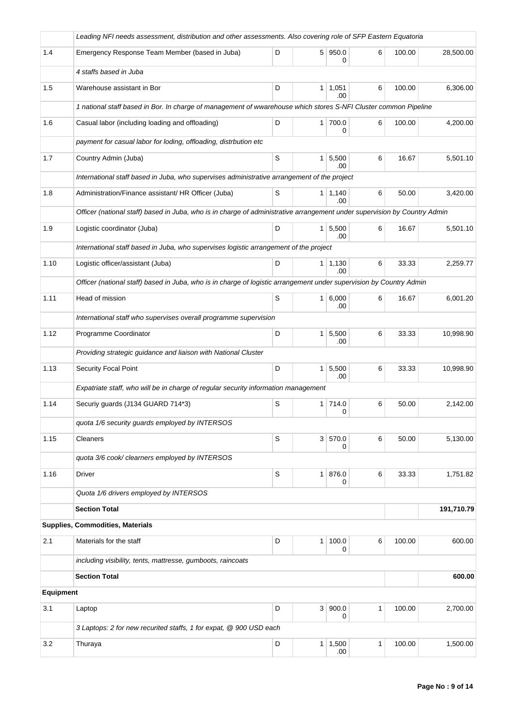|           | Leading NFI needs assessment, distribution and other assessments. Also covering role of SFP Eastern Equatoria             |   |                |                             |              |        |            |
|-----------|---------------------------------------------------------------------------------------------------------------------------|---|----------------|-----------------------------|--------------|--------|------------|
| 1.4       | Emergency Response Team Member (based in Juba)                                                                            | D |                | 5 950.0<br>0                | 6            | 100.00 | 28,500.00  |
|           | 4 staffs based in Juba                                                                                                    |   |                |                             |              |        |            |
| 1.5       | Warehouse assistant in Bor                                                                                                | D |                | $1 \mid 1,051$<br>.00       | 6            | 100.00 | 6,306.00   |
|           | 1 national staff based in Bor. In charge of management of wwarehouse which stores S-NFI Cluster common Pipeline           |   |                |                             |              |        |            |
| 1.6       | Casual labor (including loading and offloading)                                                                           | D |                | 1 700.0<br>0                | 6            | 100.00 | 4,200.00   |
|           | payment for casual labor for loding, offloading, distrbution etc                                                          |   |                |                             |              |        |            |
| 1.7       | Country Admin (Juba)                                                                                                      | S | 1 <sup>1</sup> | 5,500<br>.00.               | 6            | 16.67  | 5,501.10   |
|           | International staff based in Juba, who supervises administrative arrangement of the project                               |   |                |                             |              |        |            |
| 1.8       | Administration/Finance assistant/ HR Officer (Juba)                                                                       | S |                | $1 \mid 1,140$<br>.00       | 6            | 50.00  | 3,420.00   |
|           | Officer (national staff) based in Juba, who is in charge of administrative arrangement under supervision by Country Admin |   |                |                             |              |        |            |
| 1.9       | Logistic coordinator (Juba)                                                                                               | D |                | $1 \overline{5,500}$<br>.00 | 6            | 16.67  | 5,501.10   |
|           | International staff based in Juba, who supervises logistic arrangement of the project                                     |   |                |                             |              |        |            |
| 1.10      | Logistic officer/assistant (Juba)                                                                                         | D |                | $1 \mid 1,130$<br>.00       | 6            | 33.33  | 2,259.77   |
|           | Officer (national staff) based in Juba, who is in charge of logistic arrangement under supervision by Country Admin       |   |                |                             |              |        |            |
| 1.11      | Head of mission                                                                                                           | S |                | $1 \ 6,000$<br>.00          | 6            | 16.67  | 6,001.20   |
|           | International staff who supervises overall programme supervision                                                          |   |                |                             |              |        |            |
| 1.12      | Programme Coordinator                                                                                                     | D | 1 <sup>1</sup> | 5,500<br>.00                | 6            | 33.33  | 10,998.90  |
|           | Providing strategic guidance and liaison with National Cluster                                                            |   |                |                             |              |        |            |
| 1.13      | Security Focal Point                                                                                                      | D | 1 <sup>1</sup> | 5,500<br>.00                | 6            | 33.33  | 10,998.90  |
|           | Expatriate staff, who will be in charge of regular security information management                                        |   |                |                             |              |        |            |
| 1.14      | Securiy guards (J134 GUARD 714*3)                                                                                         | S |                | 1 714.0<br>0                | 6            | 50.00  | 2,142.00   |
|           | quota 1/6 security guards employed by INTERSOS                                                                            |   |                |                             |              |        |            |
| 1.15      | Cleaners                                                                                                                  | S |                | 3 570.0<br>0                | 6            | 50.00  | 5,130.00   |
|           | quota 3/6 cook/ clearners employed by INTERSOS                                                                            |   |                |                             |              |        |            |
| 1.16      | <b>Driver</b>                                                                                                             | S | 1 <sup>1</sup> | 876.0<br>0                  | 6            | 33.33  | 1,751.82   |
|           | Quota 1/6 drivers employed by INTERSOS                                                                                    |   |                |                             |              |        |            |
|           | <b>Section Total</b>                                                                                                      |   |                |                             |              |        | 191,710.79 |
|           | Supplies, Commodities, Materials                                                                                          |   |                |                             |              |        |            |
| 2.1       | Materials for the staff                                                                                                   | D | 1 <sup>1</sup> | 100.0<br>0                  | 6            | 100.00 | 600.00     |
|           | including visibility, tents, mattresse, gumboots, raincoats                                                               |   |                |                             |              |        |            |
|           | <b>Section Total</b>                                                                                                      |   |                |                             |              |        | 600.00     |
| Equipment |                                                                                                                           |   |                |                             |              |        |            |
| 3.1       | Laptop                                                                                                                    | D | 3 <sup>1</sup> | 900.0<br>0                  | $\mathbf{1}$ | 100.00 | 2,700.00   |
|           | 3 Laptops: 2 for new recurited staffs, 1 for expat, @ 900 USD each                                                        |   |                |                             |              |        |            |
| 3.2       | Thuraya                                                                                                                   | D | 1 <sup>1</sup> | 1,500<br>.00                | 1            | 100.00 | 1,500.00   |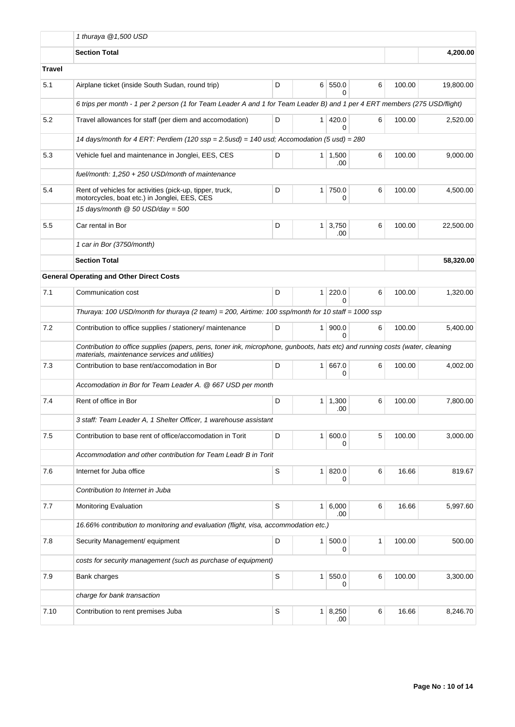|               | 1 thuraya $@1,500$ USD                                                                                                                                                         |                            |                |               |        |          |           |  |  |  |  |
|---------------|--------------------------------------------------------------------------------------------------------------------------------------------------------------------------------|----------------------------|----------------|---------------|--------|----------|-----------|--|--|--|--|
|               | <b>Section Total</b>                                                                                                                                                           |                            | 4,200.00       |               |        |          |           |  |  |  |  |
| <b>Travel</b> |                                                                                                                                                                                |                            |                |               |        |          |           |  |  |  |  |
| 5.1           | Airplane ticket (inside South Sudan, round trip)                                                                                                                               | 100.00                     | 19,800.00      |               |        |          |           |  |  |  |  |
|               | 6 trips per month - 1 per 2 person (1 for Team Leader A and 1 for Team Leader B) and 1 per 4 ERT members (275 USD/flight)                                                      |                            |                |               |        |          |           |  |  |  |  |
| 5.2           | Travel allowances for staff (per diem and accomodation)                                                                                                                        | $\mathbf{1}$               | 420.0<br>0     | 6             | 100.00 | 2,520.00 |           |  |  |  |  |
|               | 14 days/month for 4 ERT: Perdiem $(120 \text{ ssp} = 2.5 \text{usd}) = 140 \text{ usd}$ ; Accomodation $(5 \text{ usd}) = 280$                                                 |                            |                |               |        |          |           |  |  |  |  |
| 5.3           | Vehicle fuel and maintenance in Jonglei, EES, CES                                                                                                                              | D<br>$1 \mid 1,500$<br>.00 |                |               |        |          |           |  |  |  |  |
|               | fuel/month: 1,250 + 250 USD/month of maintenance                                                                                                                               |                            |                |               |        |          |           |  |  |  |  |
| 5.4           | Rent of vehicles for activities (pick-up, tipper, truck,<br>motorcycles, boat etc.) in Jonglei, EES, CES                                                                       | D                          | $\mathbf{1}$   | 750.0<br>0    | 6      | 100.00   | 4,500.00  |  |  |  |  |
|               | 15 days/month $@$ 50 USD/day = 500                                                                                                                                             |                            |                |               |        |          |           |  |  |  |  |
| 5.5           | Car rental in Bor                                                                                                                                                              | D                          | 1 <sup>1</sup> | 3,750<br>.00  | 6      | 100.00   | 22,500.00 |  |  |  |  |
|               | 1 car in Bor (3750/month)                                                                                                                                                      |                            |                |               |        |          |           |  |  |  |  |
|               | <b>Section Total</b>                                                                                                                                                           |                            |                |               |        |          | 58,320.00 |  |  |  |  |
|               | <b>General Operating and Other Direct Costs</b>                                                                                                                                |                            |                |               |        |          |           |  |  |  |  |
| 7.1           | Communication cost                                                                                                                                                             | 6                          | 100.00         | 1,320.00      |        |          |           |  |  |  |  |
|               | Thuraya: 100 USD/month for thuraya (2 team) = 200, Airtime: 100 ssp/month for 10 staff = 1000 ssp                                                                              |                            |                |               |        |          |           |  |  |  |  |
| 7.2           | Contribution to office supplies / stationery/ maintenance                                                                                                                      | D                          | $\mathbf{1}$   | 900.0<br>0    | 6      | 100.00   | 5,400.00  |  |  |  |  |
|               | Contribution to office supplies (papers, pens, toner ink, microphone, gunboots, hats etc) and running costs (water, cleaning<br>materials, maintenance services and utilities) |                            |                |               |        |          |           |  |  |  |  |
| 7.3           | Contribution to base rent/accomodation in Bor                                                                                                                                  | D                          | $\mathbf{1}$   | 667.0<br>0    | 6      | 100.00   | 4,002.00  |  |  |  |  |
|               | Accomodation in Bor for Team Leader A. @ 667 USD per month                                                                                                                     |                            |                |               |        |          |           |  |  |  |  |
| 7.4           | Rent of office in Bor                                                                                                                                                          | D                          | 1 <sup>1</sup> | 1,300<br>.00  | 6      | 100.00   | 7,800.00  |  |  |  |  |
|               | 3 staff: Team Leader A, 1 Shelter Officer, 1 warehouse assistant                                                                                                               |                            |                |               |        |          |           |  |  |  |  |
| 7.5           | Contribution to base rent of office/accomodation in Torit                                                                                                                      | D                          | $\mathbf{1}$   | 600.0<br>0    | 5      | 100.00   | 3,000.00  |  |  |  |  |
|               | Accommodation and other contribution for Team Leadr B in Torit                                                                                                                 |                            |                |               |        |          |           |  |  |  |  |
| 7.6           | Internet for Juba office                                                                                                                                                       | S                          | 1 <sup>1</sup> | 820.0<br>0    | 6      | 16.66    | 819.67    |  |  |  |  |
|               | Contribution to Internet in Juba                                                                                                                                               |                            |                |               |        |          |           |  |  |  |  |
| 7.7           | <b>Monitoring Evaluation</b>                                                                                                                                                   | 16.66                      | 5,997.60       |               |        |          |           |  |  |  |  |
|               | 16.66% contribution to monitoring and evaluation (flight, visa, accommodation etc.)                                                                                            |                            |                |               |        |          |           |  |  |  |  |
| 7.8           | Security Management/ equipment                                                                                                                                                 | $\mathbf{1}$               | 500.0<br>0     | $\mathbf{1}$  | 100.00 | 500.00   |           |  |  |  |  |
|               | costs for security management (such as purchase of equipment)                                                                                                                  |                            |                |               |        |          |           |  |  |  |  |
| 7.9           | Bank charges                                                                                                                                                                   | $\mathbb S$                | $\mathbf{1}$   | 550.0<br>0    | 6      | 100.00   | 3,300.00  |  |  |  |  |
|               | charge for bank transaction                                                                                                                                                    |                            |                |               |        |          |           |  |  |  |  |
| 7.10          | Contribution to rent premises Juba                                                                                                                                             | $\mathsf S$                | 1              | 8,250<br>.00. | 6      | 16.66    | 8,246.70  |  |  |  |  |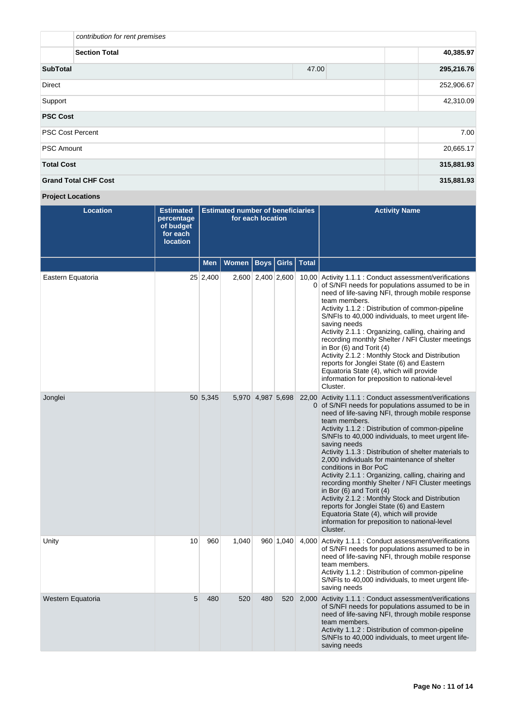| contribution for rent premises |            |            |  |  |  |  |  |
|--------------------------------|------------|------------|--|--|--|--|--|
| <b>Section Total</b>           |            |            |  |  |  |  |  |
| <b>SubTotal</b>                | 295,216.76 |            |  |  |  |  |  |
| <b>Direct</b>                  |            | 252,906.67 |  |  |  |  |  |
| Support                        | 42,310.09  |            |  |  |  |  |  |
| <b>PSC Cost</b>                |            |            |  |  |  |  |  |
| <b>PSC Cost Percent</b>        |            | 7.00       |  |  |  |  |  |
| <b>PSC Amount</b>              | 20,665.17  |            |  |  |  |  |  |
| <b>Total Cost</b>              |            | 315,881.93 |  |  |  |  |  |
| <b>Grand Total CHF Cost</b>    |            | 315,881.93 |  |  |  |  |  |

**Project Locations**

| <b>Location</b>   | <b>Estimated</b><br>percentage<br>of budget<br>for each<br><b>location</b> | <b>Estimated number of beneficiaries</b><br>for each location |              |                   |           |                | <b>Activity Name</b>                                                                                                                                                                                                                                                                                                                                                                                                                                                                                                                                                                                                                                                                                                                                                                          |
|-------------------|----------------------------------------------------------------------------|---------------------------------------------------------------|--------------|-------------------|-----------|----------------|-----------------------------------------------------------------------------------------------------------------------------------------------------------------------------------------------------------------------------------------------------------------------------------------------------------------------------------------------------------------------------------------------------------------------------------------------------------------------------------------------------------------------------------------------------------------------------------------------------------------------------------------------------------------------------------------------------------------------------------------------------------------------------------------------|
|                   |                                                                            | Men                                                           | <b>Women</b> | <b>Boys</b>       | Girls     | <b>Total</b>   |                                                                                                                                                                                                                                                                                                                                                                                                                                                                                                                                                                                                                                                                                                                                                                                               |
| Eastern Equatoria |                                                                            | $25 \mid 2,400$                                               |              | 2,600 2,400 2,600 |           | $\overline{0}$ | 10,00 Activity 1.1.1 : Conduct assessment/verifications<br>of S/NFI needs for populations assumed to be in<br>need of life-saving NFI, through mobile response<br>team members.<br>Activity 1.1.2 : Distribution of common-pipeline<br>S/NFIs to 40,000 individuals, to meet urgent life-<br>saving needs<br>Activity 2.1.1 : Organizing, calling, chairing and<br>recording monthly Shelter / NFI Cluster meetings<br>in Bor $(6)$ and Torit $(4)$<br>Activity 2.1.2 : Monthly Stock and Distribution<br>reports for Jonglei State (6) and Eastern<br>Equatoria State (4), which will provide<br>information for preposition to national-level<br>Cluster.                                                                                                                                   |
| Jonglei           |                                                                            | 50 5,345                                                      |              | 5,970 4,987 5,698 |           | $\overline{0}$ | 22,00 Activity 1.1.1 : Conduct assessment/verifications<br>of S/NFI needs for populations assumed to be in<br>need of life-saving NFI, through mobile response<br>team members.<br>Activity 1.1.2 : Distribution of common-pipeline<br>S/NFIs to 40,000 individuals, to meet urgent life-<br>saving needs<br>Activity 1.1.3 : Distribution of shelter materials to<br>2,000 individuals for maintenance of shelter<br>conditions in Bor PoC<br>Activity 2.1.1 : Organizing, calling, chairing and<br>recording monthly Shelter / NFI Cluster meetings<br>in Bor $(6)$ and Torit $(4)$<br>Activity 2.1.2 : Monthly Stock and Distribution<br>reports for Jonglei State (6) and Eastern<br>Equatoria State (4), which will provide<br>information for preposition to national-level<br>Cluster. |
| Unity             | 10                                                                         | 960                                                           | 1,040        |                   | 960 1,040 | 4,000          | Activity 1.1.1 : Conduct assessment/verifications<br>of S/NFI needs for populations assumed to be in<br>need of life-saving NFI, through mobile response<br>team members.<br>Activity 1.1.2 : Distribution of common-pipeline<br>S/NFIs to 40,000 individuals, to meet urgent life-<br>saving needs                                                                                                                                                                                                                                                                                                                                                                                                                                                                                           |
| Western Equatoria | 5                                                                          | 480                                                           | 520          | 480               | 520       |                | 2,000 Activity 1.1.1 : Conduct assessment/verifications<br>of S/NFI needs for populations assumed to be in<br>need of life-saving NFI, through mobile response<br>team members.<br>Activity 1.1.2 : Distribution of common-pipeline<br>S/NFIs to 40,000 individuals, to meet urgent life-<br>saving needs                                                                                                                                                                                                                                                                                                                                                                                                                                                                                     |